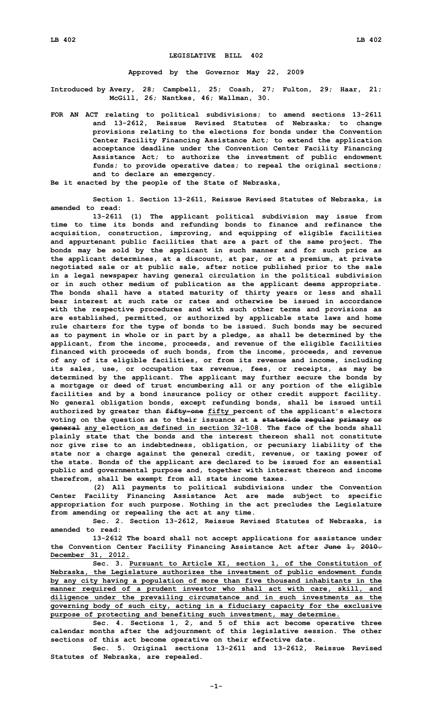## **LEGISLATIVE BILL 402**

**Approved by the Governor May 22, 2009**

**Introduced by Avery, 28; Campbell, 25; Coash, 27; Fulton, 29; Haar, 21; McGill, 26; Nantkes, 46; Wallman, 30.**

**FOR AN ACT relating to political subdivisions; to amend sections 13-2611 and 13-2612, Reissue Revised Statutes of Nebraska; to change provisions relating to the elections for bonds under the Convention Center Facility Financing Assistance Act; to extend the application acceptance deadline under the Convention Center Facility Financing Assistance Act; to authorize the investment of public endowment funds; to provide operative dates; to repeal the original sections; and to declare an emergency.**

**Be it enacted by the people of the State of Nebraska,**

**Section 1. Section 13-2611, Reissue Revised Statutes of Nebraska, is amended to read:**

**13-2611 (1) The applicant political subdivision may issue from time to time its bonds and refunding bonds to finance and refinance the acquisition, construction, improving, and equipping of eligible facilities and appurtenant public facilities that are <sup>a</sup> part of the same project. The bonds may be sold by the applicant in such manner and for such price as the applicant determines, at <sup>a</sup> discount, at par, or at <sup>a</sup> premium, at private negotiated sale or at public sale, after notice published prior to the sale in <sup>a</sup> legal newspaper having general circulation in the political subdivision or in such other medium of publication as the applicant deems appropriate. The bonds shall have <sup>a</sup> stated maturity of thirty years or less and shall bear interest at such rate or rates and otherwise be issued in accordance with the respective procedures and with such other terms and provisions as are established, permitted, or authorized by applicable state laws and home rule charters for the type of bonds to be issued. Such bonds may be secured as to payment in whole or in part by <sup>a</sup> pledge, as shall be determined by the applicant, from the income, proceeds, and revenue of the eligible facilities financed with proceeds of such bonds, from the income, proceeds, and revenue of any of its eligible facilities, or from its revenue and income, including its sales, use, or occupation tax revenue, fees, or receipts, as may be determined by the applicant. The applicant may further secure the bonds by <sup>a</sup> mortgage or deed of trust encumbering all or any portion of the eligible facilities and by <sup>a</sup> bond insurance policy or other credit support facility. No general obligation bonds, except refunding bonds, shall be issued until authorized by greater than fifty-one fifty percent of the applicant's electors voting on the question as to their issuance at <sup>a</sup> statewide regular primary or general any election as defined in section 32-108. The face of the bonds shall plainly state that the bonds and the interest thereon shall not constitute nor give rise to an indebtedness, obligation, or pecuniary liability of the state nor <sup>a</sup> charge against the general credit, revenue, or taxing power of the state. Bonds of the applicant are declared to be issued for an essential public and governmental purpose and, together with interest thereon and income therefrom, shall be exempt from all state income taxes.**

**(2) All payments to political subdivisions under the Convention Center Facility Financing Assistance Act are made subject to specific appropriation for such purpose. Nothing in the act precludes the Legislature from amending or repealing the act at any time.**

**Sec. 2. Section 13-2612, Reissue Revised Statutes of Nebraska, is amended to read:**

**13-2612 The board shall not accept applications for assistance under the Convention Center Facility Financing Assistance Act after June 1, 2010. December 31, 2012.**

**Sec. 3. Pursuant to Article XI, section 1, of the Constitution of Nebraska, the Legislature authorizes the investment of public endowment funds by any city having <sup>a</sup> population of more than five thousand inhabitants in the manner required of <sup>a</sup> prudent investor who shall act with care, skill, and diligence under the prevailing circumstance and in such investments as the governing body of such city, acting in <sup>a</sup> fiduciary capacity for the exclusive purpose of protecting and benefiting such investment, may determine.**

**Sec. 4. Sections 1, 2, and 5 of this act become operative three calendar months after the adjournment of this legislative session. The other sections of this act become operative on their effective date.**

**Sec. 5. Original sections 13-2611 and 13-2612, Reissue Revised Statutes of Nebraska, are repealed.**